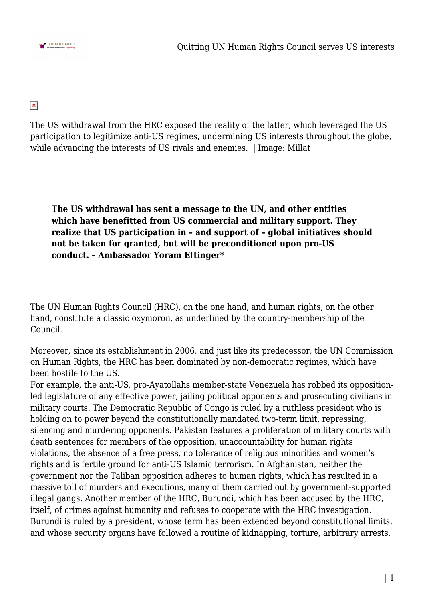

## $\pmb{\times}$

The US withdrawal from the HRC exposed the reality of the latter, which leveraged the US participation to legitimize anti-US regimes, undermining US interests throughout the globe, while advancing the interests of US rivals and enemies. | Image: Millat

**The US withdrawal has sent a message to the UN, and other entities which have benefitted from US commercial and military support. They realize that US participation in – and support of – global initiatives should not be taken for granted, but will be preconditioned upon pro-US conduct. – Ambassador Yoram Ettinger\***

The UN Human Rights Council (HRC), on the one hand, and human rights, on the other hand, constitute a classic oxymoron, as underlined by the country-membership of the Council.

Moreover, since its establishment in 2006, and just like its predecessor, the UN Commission on Human Rights, the HRC has been dominated by non-democratic regimes, which have been hostile to the US.

For example, the anti-US, pro-Ayatollahs member-state Venezuela has robbed its oppositionled legislature of any effective power, jailing political opponents and prosecuting civilians in military courts. The Democratic Republic of Congo is ruled by a ruthless president who is holding on to power beyond the constitutionally mandated two-term limit, repressing, silencing and murdering opponents. Pakistan features a proliferation of military courts with death sentences for members of the opposition, unaccountability for human rights violations, the absence of a free press, no tolerance of religious minorities and women's rights and is fertile ground for anti-US Islamic terrorism. In Afghanistan, neither the government nor the Taliban opposition adheres to human rights, which has resulted in a massive toll of murders and executions, many of them carried out by government-supported illegal gangs. Another member of the HRC, Burundi, which has been accused by the HRC, itself, of crimes against humanity and refuses to cooperate with the HRC investigation. Burundi is ruled by a president, whose term has been extended beyond constitutional limits, and whose security organs have followed a routine of kidnapping, torture, arbitrary arrests,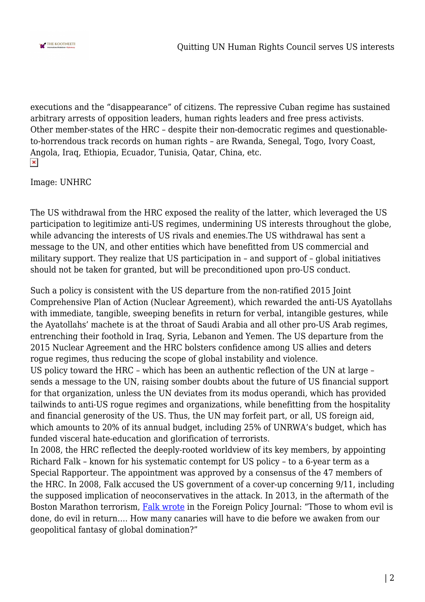

executions and the "disappearance" of citizens. The repressive Cuban regime has sustained arbitrary arrests of opposition leaders, human rights leaders and free press activists. Other member-states of the HRC – despite their non-democratic regimes and questionableto-horrendous track records on human rights – are Rwanda, Senegal, Togo, Ivory Coast, Angola, Iraq, Ethiopia, Ecuador, Tunisia, Qatar, China, etc.  $\pmb{\times}$ 

Image: UNHRC

The US withdrawal from the HRC exposed the reality of the latter, which leveraged the US participation to legitimize anti-US regimes, undermining US interests throughout the globe, while advancing the interests of US rivals and enemies.The US withdrawal has sent a message to the UN, and other entities which have benefitted from US commercial and military support. They realize that US participation in – and support of – global initiatives should not be taken for granted, but will be preconditioned upon pro-US conduct.

Such a policy is consistent with the US departure from the non-ratified 2015 Joint Comprehensive Plan of Action (Nuclear Agreement), which rewarded the anti-US Ayatollahs with immediate, tangible, sweeping benefits in return for verbal, intangible gestures, while the Ayatollahs' machete is at the throat of Saudi Arabia and all other pro-US Arab regimes, entrenching their foothold in Iraq, Syria, Lebanon and Yemen. The US departure from the 2015 Nuclear Agreement and the HRC bolsters confidence among US allies and deters rogue regimes, thus reducing the scope of global instability and violence.

US policy toward the HRC – which has been an authentic reflection of the UN at large – sends a message to the UN, raising somber doubts about the future of US financial support for that organization, unless the UN deviates from its modus operandi, which has provided tailwinds to anti-US rogue regimes and organizations, while benefitting from the hospitality and financial generosity of the US. Thus, the UN may forfeit part, or all, US foreign aid, which amounts to 20% of its annual budget, including 25% of UNRWA's budget, which has funded visceral hate-education and glorification of terrorists.

In 2008, the HRC reflected the deeply-rooted worldview of its key members, by appointing Richard Falk – known for his systematic contempt for US policy – to a 6-year term as a Special Rapporteur. The appointment was approved by a consensus of the 47 members of the HRC. In 2008, Falk accused the US government of a cover-up concerning 9/11, including the supposed implication of neoconservatives in the attack. In 2013, in the aftermath of the Boston Marathon terrorism, [Falk wrote](https://www.foreignpolicyjournal.com/2013/04/21/a-commentary-on-the-marathon-murders/) in the Foreign Policy Journal: "Those to whom evil is done, do evil in return…. How many canaries will have to die before we awaken from our geopolitical fantasy of global domination?"